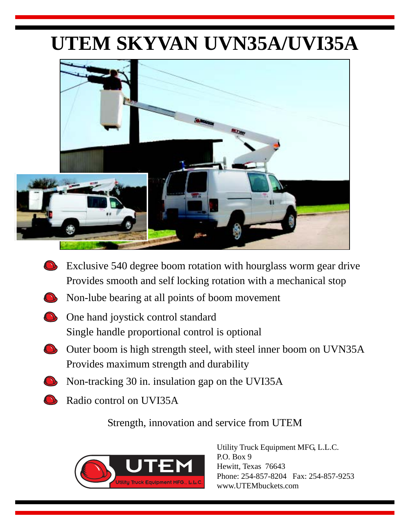# **UTEM SKYVAN UVN35A/UVI35A**



- Exclusive 540 degree boom rotation with hourglass worm gear drive Provides smooth and self locking rotation with a mechanical stop
- Non-lube bearing at all points of boom movement
- **One hand joystick control standard** Single handle proportional control is optional
- Outer boom is high strength steel, with steel inner boom on UVN35A Provides maximum strength and durability
- Non-tracking 30 in. insulation gap on the UVI35A
	- Radio control on UVI35A

Strength, innovation and service from UTEM



Utility Truck Equipment MFG, L.L.C. P.O. Box 9 Hewitt, Texas 76643 Phone: 254-857-8204 Fax: 254-857-9253 www.UTEMbuckets.com